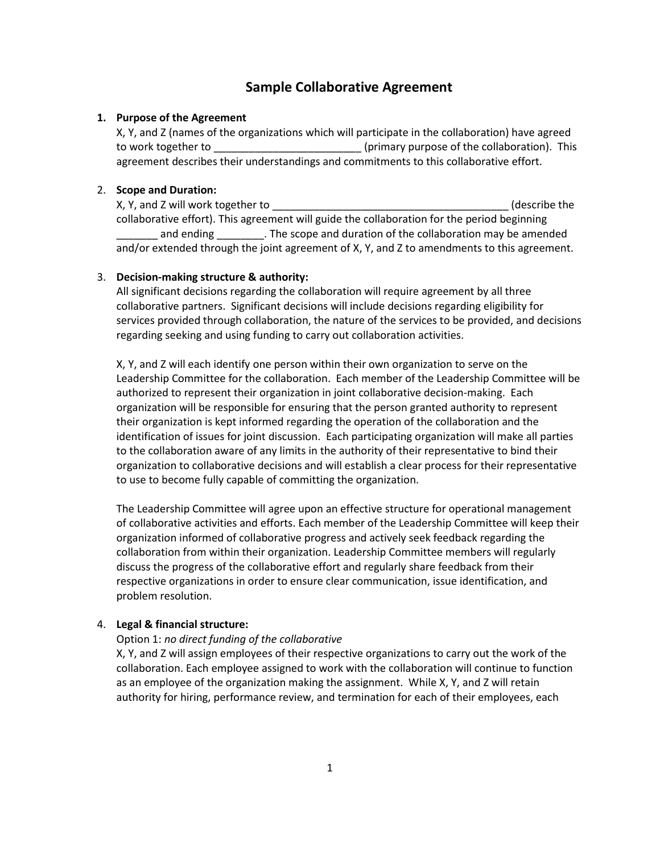# **Sample Collaborative Agreement**

# **1. Purpose of the Agreement**

X, Y, and Z (names of the organizations which will participate in the collaboration) have agreed to work together to \_\_\_\_\_\_\_\_\_\_\_\_\_\_\_\_\_\_\_\_\_\_\_\_\_ (primary purpose of the collaboration). This agreement describes their understandings and commitments to this collaborative effort.

# 2. **Scope and Duration:**

X, Y, and Z will work together to **with a set of the set of the set of the set of the set of the set of the set o** collaborative effort). This agreement will guide the collaboration for the period beginning and ending \_\_\_\_\_\_\_\_\_\_. The scope and duration of the collaboration may be amended and/or extended through the joint agreement of X, Y, and Z to amendments to this agreement.

#### 3. **Decision-making structure & authority:**

All significant decisions regarding the collaboration will require agreement by all three collaborative partners. Significant decisions will include decisions regarding eligibility for services provided through collaboration, the nature of the services to be provided, and decisions regarding seeking and using funding to carry out collaboration activities.

X, Y, and Z will each identify one person within their own organization to serve on the Leadership Committee for the collaboration. Each member of the Leadership Committee will be authorized to represent their organization in joint collaborative decision-making. Each organization will be responsible for ensuring that the person granted authority to represent their organization is kept informed regarding the operation of the collaboration and the identification of issues for joint discussion. Each participating organization will make all parties to the collaboration aware of any limits in the authority of their representative to bind their organization to collaborative decisions and will establish a clear process for their representative to use to become fully capable of committing the organization.

The Leadership Committee will agree upon an effective structure for operational management of collaborative activities and efforts. Each member of the Leadership Committee will keep their organization informed of collaborative progress and actively seek feedback regarding the collaboration from within their organization. Leadership Committee members will regularly discuss the progress of the collaborative effort and regularly share feedback from their respective organizations in order to ensure clear communication, issue identification, and problem resolution.

# 4. **Legal & financial structure:**

# Option 1: *no direct funding of the collaborative*

X, Y, and Z will assign employees of their respective organizations to carry out the work of the collaboration. Each employee assigned to work with the collaboration will continue to function as an employee of the organization making the assignment. While X, Y, and Z will retain authority for hiring, performance review, and termination for each of their employees, each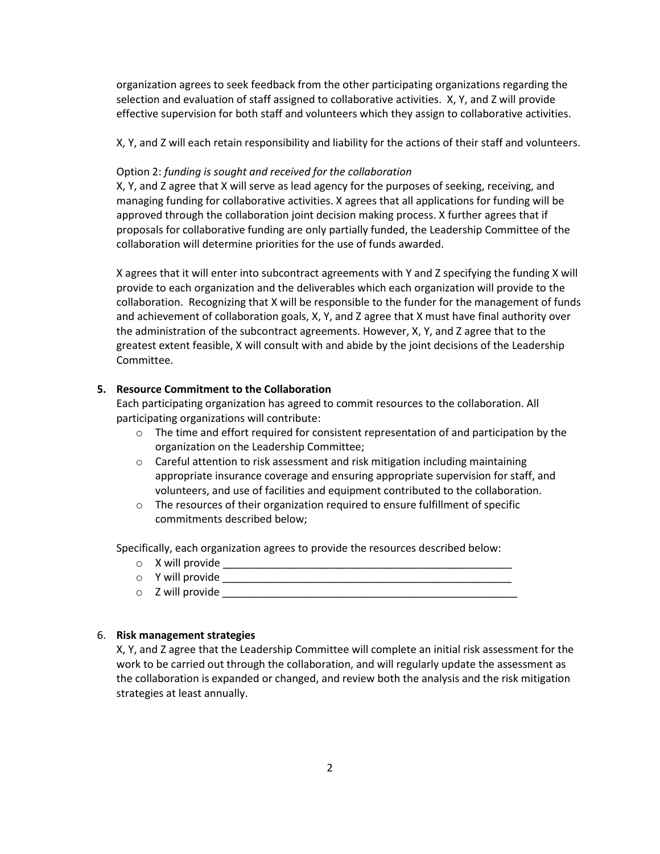organization agrees to seek feedback from the other participating organizations regarding the selection and evaluation of staff assigned to collaborative activities. X, Y, and Z will provide effective supervision for both staff and volunteers which they assign to collaborative activities.

X, Y, and Z will each retain responsibility and liability for the actions of their staff and volunteers.

#### Option 2: *funding is sought and received for the collaboration*

X, Y, and Z agree that X will serve as lead agency for the purposes of seeking, receiving, and managing funding for collaborative activities. X agrees that all applications for funding will be approved through the collaboration joint decision making process. X further agrees that if proposals for collaborative funding are only partially funded, the Leadership Committee of the collaboration will determine priorities for the use of funds awarded.

X agrees that it will enter into subcontract agreements with Y and Z specifying the funding X will provide to each organization and the deliverables which each organization will provide to the collaboration. Recognizing that X will be responsible to the funder for the management of funds and achievement of collaboration goals, X, Y, and Z agree that X must have final authority over the administration of the subcontract agreements. However, X, Y, and Z agree that to the greatest extent feasible, X will consult with and abide by the joint decisions of the Leadership Committee.

#### **5. Resource Commitment to the Collaboration**

Each participating organization has agreed to commit resources to the collaboration. All participating organizations will contribute:

- $\circ$  The time and effort required for consistent representation of and participation by the organization on the Leadership Committee;
- o Careful attention to risk assessment and risk mitigation including maintaining appropriate insurance coverage and ensuring appropriate supervision for staff, and volunteers, and use of facilities and equipment contributed to the collaboration.
- $\circ$  The resources of their organization required to ensure fulfillment of specific commitments described below;

Specifically, each organization agrees to provide the resources described below:

- o X will provide \_\_\_\_\_\_\_\_\_\_\_\_\_\_\_\_\_\_\_\_\_\_\_\_\_\_\_\_\_\_\_\_\_\_\_\_\_\_\_\_\_\_\_\_\_\_\_\_\_
- o Y will provide \_\_\_\_\_\_\_\_\_\_\_\_\_\_\_\_\_\_\_\_\_\_\_\_\_\_\_\_\_\_\_\_\_\_\_\_\_\_\_\_\_\_\_\_\_\_\_\_\_
- o Z will provide \_\_\_\_\_\_\_\_\_\_\_\_\_\_\_\_\_\_\_\_\_\_\_\_\_\_\_\_\_\_\_\_\_\_\_\_\_\_\_\_\_\_\_\_\_\_\_\_\_\_

# 6. **Risk management strategies**

X, Y, and Z agree that the Leadership Committee will complete an initial risk assessment for the work to be carried out through the collaboration, and will regularly update the assessment as the collaboration is expanded or changed, and review both the analysis and the risk mitigation strategies at least annually.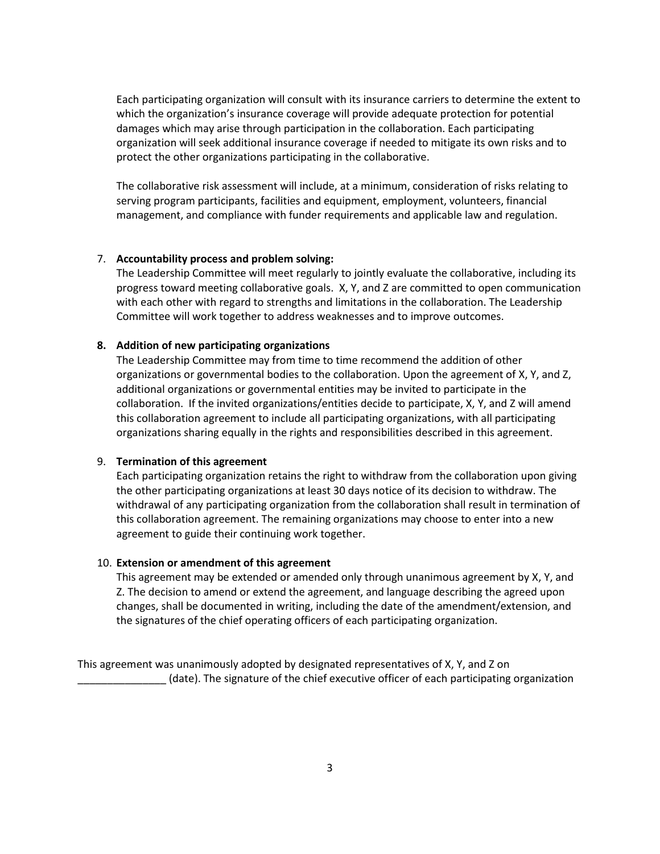Each participating organization will consult with its insurance carriers to determine the extent to which the organization's insurance coverage will provide adequate protection for potential damages which may arise through participation in the collaboration. Each participating organization will seek additional insurance coverage if needed to mitigate its own risks and to protect the other organizations participating in the collaborative.

The collaborative risk assessment will include, at a minimum, consideration of risks relating to serving program participants, facilities and equipment, employment, volunteers, financial management, and compliance with funder requirements and applicable law and regulation.

# 7. **Accountability process and problem solving:**

The Leadership Committee will meet regularly to jointly evaluate the collaborative, including its progress toward meeting collaborative goals. X, Y, and Z are committed to open communication with each other with regard to strengths and limitations in the collaboration. The Leadership Committee will work together to address weaknesses and to improve outcomes.

# **8. Addition of new participating organizations**

The Leadership Committee may from time to time recommend the addition of other organizations or governmental bodies to the collaboration. Upon the agreement of X, Y, and Z, additional organizations or governmental entities may be invited to participate in the collaboration. If the invited organizations/entities decide to participate, X, Y, and Z will amend this collaboration agreement to include all participating organizations, with all participating organizations sharing equally in the rights and responsibilities described in this agreement.

# 9. **Termination of this agreement**

Each participating organization retains the right to withdraw from the collaboration upon giving the other participating organizations at least 30 days notice of its decision to withdraw. The withdrawal of any participating organization from the collaboration shall result in termination of this collaboration agreement. The remaining organizations may choose to enter into a new agreement to guide their continuing work together.

# 10. **Extension or amendment of this agreement**

This agreement may be extended or amended only through unanimous agreement by X, Y, and Z. The decision to amend or extend the agreement, and language describing the agreed upon changes, shall be documented in writing, including the date of the amendment/extension, and the signatures of the chief operating officers of each participating organization.

This agreement was unanimously adopted by designated representatives of X, Y, and Z on \_\_\_\_\_\_\_\_\_\_\_\_\_\_\_ (date). The signature of the chief executive officer of each participating organization